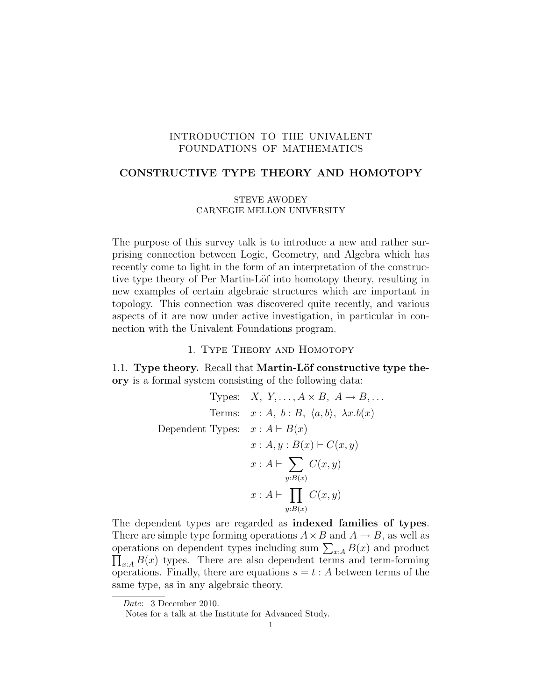# INTRODUCTION TO THE UNIVALENT FOUNDATIONS OF MATHEMATICS

## CONSTRUCTIVE TYPE THEORY AND HOMOTOPY

## STEVE AWODEY CARNEGIE MELLON UNIVERSITY

The purpose of this survey talk is to introduce a new and rather surprising connection between Logic, Geometry, and Algebra which has recently come to light in the form of an interpretation of the constructive type theory of Per Martin-Löf into homotopy theory, resulting in new examples of certain algebraic structures which are important in topology. This connection was discovered quite recently, and various aspects of it are now under active investigation, in particular in connection with the Univalent Foundations program.

## 1. Type Theory and Homotopy

1.1. Type theory. Recall that Martin-Löf constructive type theory is a formal system consisting of the following data:

Types: 
$$
X, Y, ..., A \times B, A \rightarrow B, ...
$$
  
\nTerms:  $x : A, b : B, \langle a, b \rangle, \lambda x.b(x)$   
\nDependent Types:  $x : A \vdash B(x)$   
\n $x : A, y : B(x) \vdash C(x, y)$   
\n $x : A \vdash \sum_{y:B(x)} C(x, y)$   
\n $x : A \vdash \prod_{y:B(x)} C(x, y)$ 

The dependent types are regarded as indexed families of types. There are simple type forming operations  $A \times B$  and  $A \rightarrow B$ , as well as operations on dependent types including sum  $\sum_{x:A} B(x)$  and product operations on dependent types including sum  $\sum_{x:A} B(x)$  and product  $\prod_{x:A} B(x)$  types. There are also dependent terms and term-forming operations. Finally, there are equations  $s = t : A$  between terms of the same type, as in any algebraic theory.

Date: 3 December 2010.

Notes for a talk at the Institute for Advanced Study.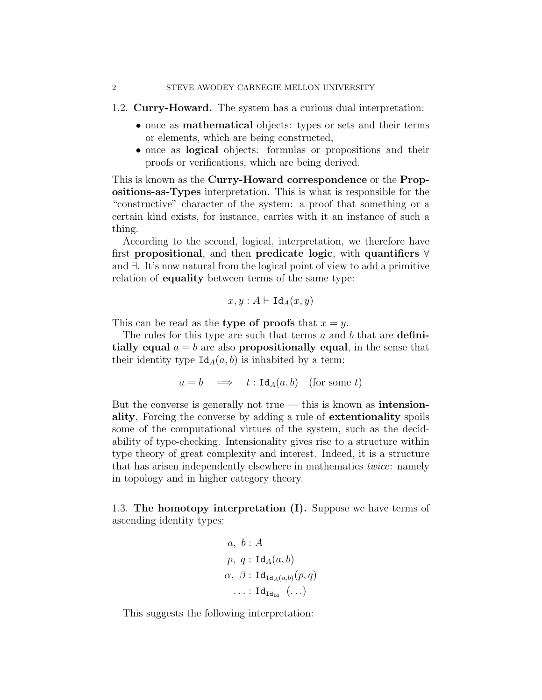#### 2 STEVE AWODEY CARNEGIE MELLON UNIVERSITY

- 1.2. Curry-Howard. The system has a curious dual interpretation:
	- once as mathematical objects: types or sets and their terms or elements, which are being constructed,
	- once as logical objects: formulas or propositions and their proofs or verifications, which are being derived.

This is known as the Curry-Howard correspondence or the Propositions-as-Types interpretation. This is what is responsible for the "constructive" character of the system: a proof that something or a certain kind exists, for instance, carries with it an instance of such a thing.

According to the second, logical, interpretation, we therefore have first propositional, and then predicate logic, with quantifiers ∀ and ∃. It's now natural from the logical point of view to add a primitive relation of equality between terms of the same type:

$$
x, y : A \vdash \mathtt{Id}_A(x, y)
$$

This can be read as the **type of proofs** that  $x = y$ .

The rules for this type are such that terms  $a$  and  $b$  that are **defini**tially equal  $a = b$  are also propositionally equal, in the sense that their identity type  $Id_A(a, b)$  is inhabited by a term:

$$
a = b \implies t : \text{Id}_A(a, b) \text{ (for some } t)
$$

But the converse is generally not true  $-$  this is known as **intension**ality. Forcing the converse by adding a rule of extentionality spoils some of the computational virtues of the system, such as the decidability of type-checking. Intensionality gives rise to a structure within type theory of great complexity and interest. Indeed, it is a structure that has arisen independently elsewhere in mathematics twice: namely in topology and in higher category theory.

1.3. The homotopy interpretation (I). Suppose we have terms of ascending identity types:

$$
a, b : A
$$
  
\n
$$
p, q : \text{Id}_{A}(a, b)
$$
  
\n
$$
\alpha, \beta : \text{Id}_{\text{Id}_{A}(a, b)}(p, q)
$$
  
\n
$$
\dots : \text{Id}_{\text{Id}_{\text{Id}}_{\dots}}(\dots)
$$

This suggests the following interpretation: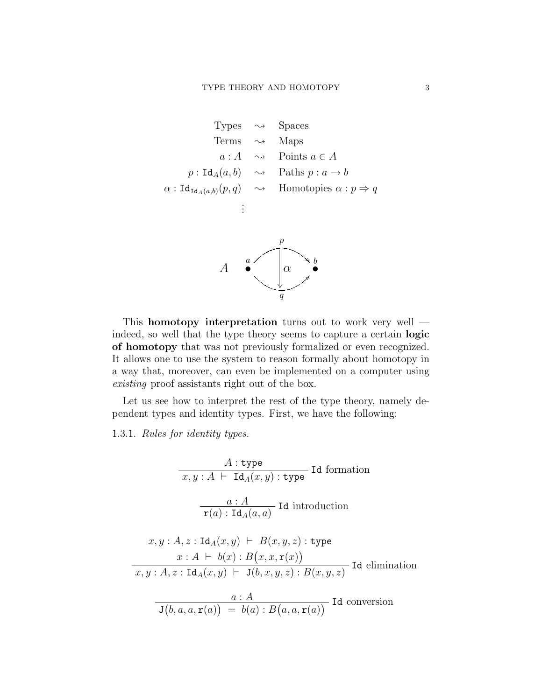\n
$$
\text{Types} \rightarrow \text{Spaces}
$$
\n

\n\n $\text{Terms} \rightarrow \text{Maps}$ \n

\n\n $a: A \rightarrow \text{Points } a \in A$ \n

\n\n $p: \text{Id}_A(a, b) \rightarrow \text{Paths } p: a \rightarrow b$ \n

\n\n $\alpha: \text{Id}_{\text{Id}_A(a, b)}(p, q) \rightarrow \text{Homotopies } \alpha: p \Rightarrow q$ \n

\n\n $\vdots$ \n

\n\n $A \bullet \qquad \qquad \text{OR} \qquad b$ \n

This homotopy interpretation turns out to work very well indeed, so well that the type theory seems to capture a certain logic of homotopy that was not previously formalized or even recognized. It allows one to use the system to reason formally about homotopy in a way that, moreover, can even be implemented on a computer using existing proof assistants right out of the box.

 $\frac{y}{q}$ 

@

Let us see how to interpret the rest of the type theory, namely dependent types and identity types. First, we have the following:

1.3.1. Rules for identity types.

$$
A: \text{type}
$$
  
\n $x, y: A \vdash \text{Id}_{A}(x, y): \text{type}$  Id formation  
\n
$$
\frac{a: A}{\text{r}(a): \text{Id}_{A}(a, a)} \text{ Id introduction}
$$
  
\n $x, y: A, z: \text{Id}_{A}(x, y) \vdash B(x, y, z): \text{type}$   
\n $x: A \vdash b(x): B(x, x, \text{r}(x))$   
\n $x, y: A, z: \text{Id}_{A}(x, y) \vdash J(b, x, y, z): B(x, y, z) \text{ Id elimination}$   
\n
$$
\frac{a: A}{J(b, a, a, \text{r}(a)) = b(a): B(a, a, \text{r}(a))} \text{ Id conversion}
$$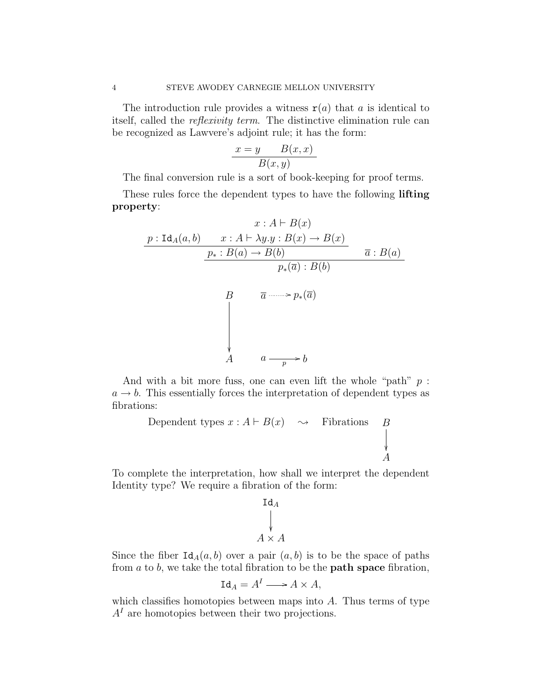The introduction rule provides a witness  $r(a)$  that a is identical to itself, called the reflexivity term. The distinctive elimination rule can be recognized as Lawvere's adjoint rule; it has the form:

$$
\frac{x=y \qquad B(x,x)}{B(x,y)}
$$

The final conversion rule is a sort of book-keeping for proof terms.

These rules force the dependent types to have the following **lifting** property:

$$
x : A \vdash B(x)
$$
  

$$
\underline{p : \text{Id}_{A}(a, b) \qquad x : A \vdash \lambda y. y : B(x) \to B(x)}
$$
  

$$
\underline{p_{*} : B(a) \to B(b)} \qquad \qquad \overline{a} : B(a)
$$
  

$$
B \qquad \overline{a \longrightarrow p_{*}(\overline{a})}
$$
  

$$
\downarrow
$$
  

$$
A \qquad a \longrightarrow p \to b
$$

And with a bit more fuss, one can even lift the whole "path"  $p$ :  $a \rightarrow b$ . This essentially forces the interpretation of dependent types as fibrations:

Dependent types 
$$
x : A \vdash B(x) \rightarrow
$$

\nFibrations

\n
$$
\downarrow
$$
\n
$$
A
$$

To complete the interpretation, how shall we interpret the dependent Identity type? We require a fibration of the form:

$$
\operatorname{Id}_A
$$
  
\n
$$
\downarrow
$$
  
\n
$$
A \times A
$$

Since the fiber  $Id_A(a, b)$  over a pair  $(a, b)$  is to be the space of paths from  $a$  to  $b$ , we take the total fibration to be the **path space** fibration,

$$
\mathrm{Id}_A = A^I \longrightarrow A \times A,
$$

which classifies homotopies between maps into  $A$ . Thus terms of type  $A<sup>I</sup>$  are homotopies between their two projections.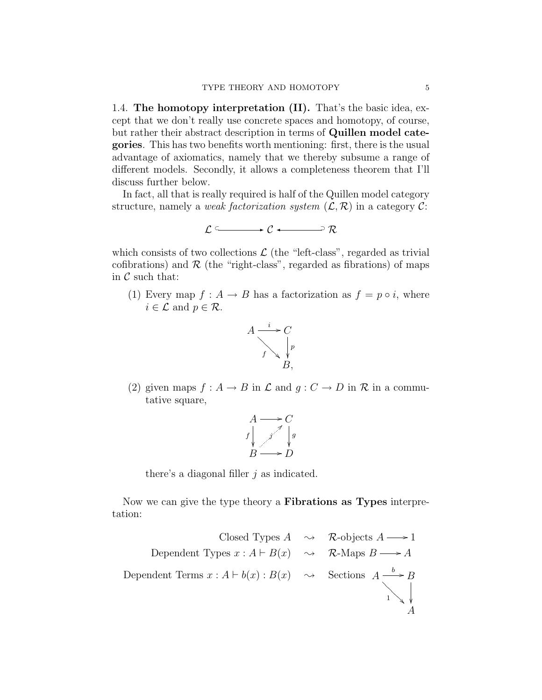1.4. The homotopy interpretation (II). That's the basic idea, except that we don't really use concrete spaces and homotopy, of course, but rather their abstract description in terms of Quillen model categories. This has two benefits worth mentioning: first, there is the usual advantage of axiomatics, namely that we thereby subsume a range of different models. Secondly, it allows a completeness theorem that I'll discuss further below.

In fact, all that is really required is half of the Quillen model category structure, namely a *weak factorization system*  $(\mathcal{L}, \mathcal{R})$  in a category  $\mathcal{C}$ :

$$
\mathcal{L} \xrightarrow{\sim} \mathcal{C} \longleftarrow \mathcal{R}
$$

which consists of two collections  $\mathcal L$  (the "left-class", regarded as trivial cofibrations) and  $R$  (the "right-class", regarded as fibrations) of maps in  $\mathcal C$  such that:

(1) Every map  $f : A \to B$  has a factorization as  $f = p \circ i$ , where  $i \in \mathcal{L}$  and  $p \in \mathcal{R}$ .



(2) given maps  $f : A \to B$  in  $\mathcal L$  and  $g : C \to D$  in  $\mathcal R$  in a commutative square,

$$
A \longrightarrow C
$$
  
 $f \downarrow j \qquad \downarrow g$   
 $B \longrightarrow D$ 

there's a diagonal filler  $j$  as indicated.

Now we can give the type theory a Fibrations as Types interpretation:

Closed Types 
$$
A \rightarrow \mathbb{R}
$$
-objects  $A \rightarrow 1$ 

\nDependent Types  $x : A \vdash B(x) \rightarrow \mathbb{R}$ -Maps  $B \rightarrow A$ 

\nDependent Terms  $x : A \vdash b(x) : B(x) \rightarrow \mathbb{S}$  sections  $A \xrightarrow{b} B$ 

\n↑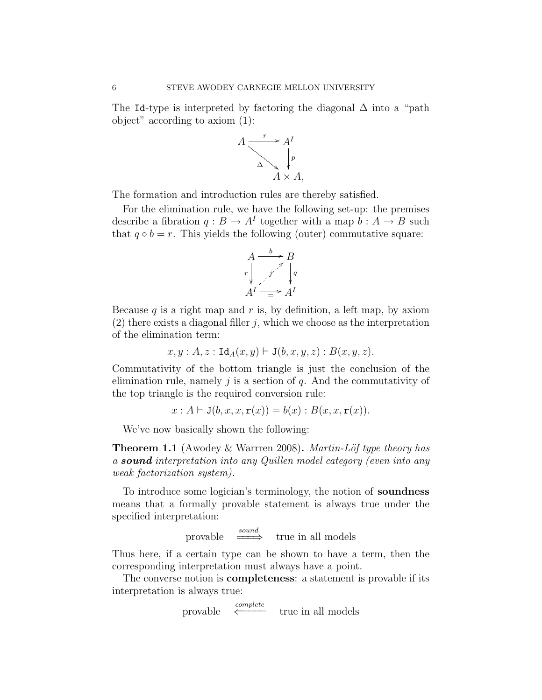The Id-type is interpreted by factoring the diagonal  $\Delta$  into a "path" object" according to axiom (1):



The formation and introduction rules are thereby satisfied.

For the elimination rule, we have the following set-up: the premises describe a fibration  $q: B \to A^I$  together with a map  $b: A \to B$  such that  $q \circ b = r$ . This yields the following (outer) commutative square:



Because  $q$  is a right map and  $r$  is, by definition, a left map, by axiom  $(2)$  there exists a diagonal filler j, which we choose as the interpretation of the elimination term:

$$
x,y:A,z:\text{Id}_A(x,y)\vdash \text{J}(b,x,y,z):B(x,y,z).
$$

Commutativity of the bottom triangle is just the conclusion of the elimination rule, namely  $\dot{\eta}$  is a section of  $q$ . And the commutativity of the top triangle is the required conversion rule:

 $x : A \vdash J(b, x, x, r(x)) = b(x) : B(x, x, r(x)).$ 

We've now basically shown the following:

**Theorem 1.1** (Awodey & Warrren 2008). Martin-Löf type theory has a sound interpretation into any Quillen model category (even into any weak factorization system).

To introduce some logician's terminology, the notion of soundness means that a formally provable statement is always true under the specified interpretation:

provable  $\frac{sound}{\qquad}$  true in all models

Thus here, if a certain type can be shown to have a term, then the corresponding interpretation must always have a point.

The converse notion is **completeness**: a statement is provable if its interpretation is always true:

> provable  $\overbrace{\longleftarrow}{\longleftarrow}$ true in all models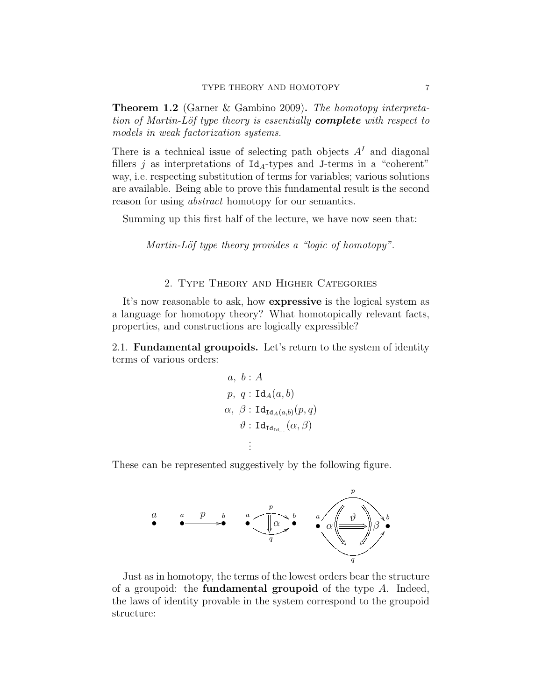Theorem 1.2 (Garner & Gambino 2009). The homotopy interpretation of Martin-Löf type theory is essentially **complete** with respect to models in weak factorization systems.

There is a technical issue of selecting path objects  $A<sup>I</sup>$  and diagonal fillers j as interpretations of  $Id_A$ -types and J-terms in a "coherent" way, i.e. respecting substitution of terms for variables; various solutions are available. Being able to prove this fundamental result is the second reason for using *abstract* homotopy for our semantics.

Summing up this first half of the lecture, we have now seen that:

Martin-Löf type theory provides a "logic of homotopy".

## 2. Type Theory and Higher Categories

It's now reasonable to ask, how expressive is the logical system as a language for homotopy theory? What homotopically relevant facts, properties, and constructions are logically expressible?

2.1. Fundamental groupoids. Let's return to the system of identity terms of various orders:

$$
a, b : A
$$
  
\n
$$
p, q : \text{Id}_{A}(a, b)
$$
  
\n
$$
\alpha, \beta : \text{Id}_{\text{Id}_{A}(a, b)}(p, q)
$$
  
\n
$$
\vartheta : \text{Id}_{\text{Id}_{\text{Id}_{\text{Id}}}}(\alpha, \beta)
$$
  
\n
$$
\vdots
$$

These can be represented suggestively by the following figure.



Just as in homotopy, the terms of the lowest orders bear the structure of a groupoid: the **fundamental groupoid** of the type  $A$ . Indeed, the laws of identity provable in the system correspond to the groupoid structure: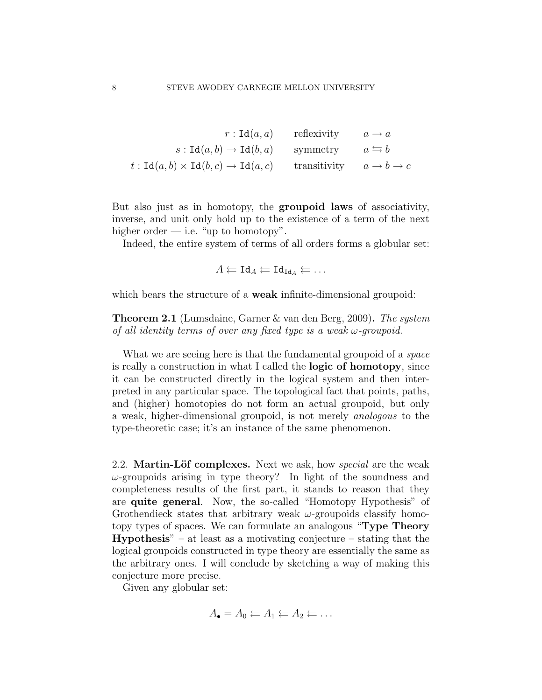$$
r: \text{Id}(a, a) \qquad \text{reflexivity} \qquad a \to a
$$

$$
s: \text{Id}(a, b) \to \text{Id}(b, a) \qquad \text{symmetry} \qquad a \leftrightarrows b
$$

$$
t: \text{Id}(a, b) \times \text{Id}(b, c) \to \text{Id}(a, c) \qquad \text{transitivity} \qquad a \to b \to c
$$

But also just as in homotopy, the groupoid laws of associativity, inverse, and unit only hold up to the existence of a term of the next higher order  $-$  i.e. "up to homotopy".

Indeed, the entire system of terms of all orders forms a globular set:

$$
A \leftarrow \mathrm{Id}_A \leftarrow \mathrm{Id}_{\mathrm{Id}_A} \leftarrow \ldots
$$

which bears the structure of a **weak** infinite-dimensional groupoid:

Theorem 2.1 (Lumsdaine, Garner & van den Berg, 2009). The system of all identity terms of over any fixed type is a weak  $\omega$ -groupoid.

What we are seeing here is that the fundamental groupoid of a *space* is really a construction in what I called the logic of homotopy, since it can be constructed directly in the logical system and then interpreted in any particular space. The topological fact that points, paths, and (higher) homotopies do not form an actual groupoid, but only a weak, higher-dimensional groupoid, is not merely analogous to the type-theoretic case; it's an instance of the same phenomenon.

2.2. Martin-Löf complexes. Next we ask, how *special* are the weak  $\omega$ -groupoids arising in type theory? In light of the soundness and completeness results of the first part, it stands to reason that they are quite general. Now, the so-called "Homotopy Hypothesis" of Grothendieck states that arbitrary weak  $\omega$ -groupoids classify homotopy types of spaces. We can formulate an analogous "Type Theory **Hypothesis**" – at least as a motivating conjecture – stating that the logical groupoids constructed in type theory are essentially the same as the arbitrary ones. I will conclude by sketching a way of making this conjecture more precise.

Given any globular set:

$$
A_{\bullet} = A_0 \leftarrow A_1 \leftarrow A_2 \leftarrow \dots
$$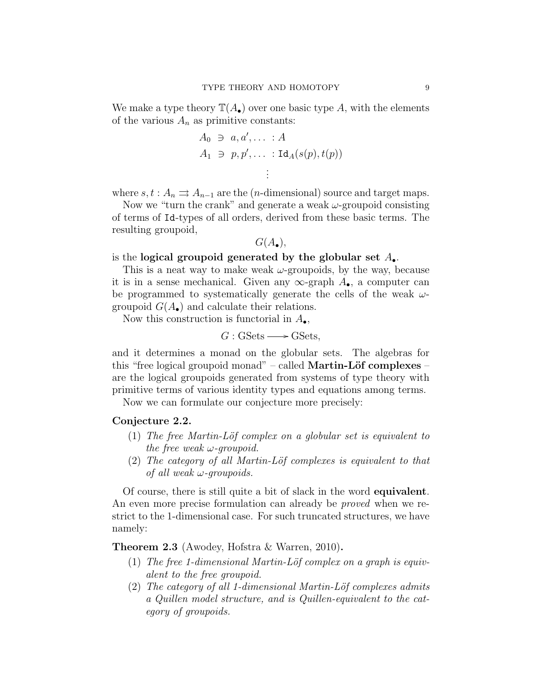We make a type theory  $\mathbb{T}(A_{\bullet})$  over one basic type A, with the elements of the various  $A_n$  as primitive constants:

$$
A_0 \ni a, a', \ldots : A
$$
  
\n
$$
A_1 \ni p, p', \ldots : \text{Id}_A(s(p), t(p))
$$
  
\n
$$
\vdots
$$

where  $s, t : A_n \rightrightarrows A_{n-1}$  are the (*n*-dimensional) source and target maps.

Now we "turn the crank" and generate a weak  $\omega$ -groupoid consisting of terms of Id-types of all orders, derived from these basic terms. The resulting groupoid,

$$
G(A_{\bullet}),
$$

## is the logical groupoid generated by the globular set  $A_{\bullet}$ .

This is a neat way to make weak  $\omega$ -groupoids, by the way, because it is in a sense mechanical. Given any  $\infty$ -graph  $A_{\bullet}$ , a computer can be programmed to systematically generate the cells of the weak  $\omega$ groupoid  $G(A_{\bullet})$  and calculate their relations.

Now this construction is functorial in  $A_{\bullet}$ ,

$$
G: \mathsf{GSets} \longrightarrow \mathsf{GSets},
$$

and it determines a monad on the globular sets. The algebras for this "free logical groupoid monad" – called **Martin-Löf complexes** – are the logical groupoids generated from systems of type theory with primitive terms of various identity types and equations among terms.

Now we can formulate our conjecture more precisely:

## Conjecture 2.2.

- (1) The free Martin-Löf complex on a globular set is equivalent to the free weak  $\omega$ -groupoid.
- $(2)$  The category of all Martin-Löf complexes is equivalent to that of all weak  $\omega$ -groupoids.

Of course, there is still quite a bit of slack in the word equivalent. An even more precise formulation can already be *proved* when we restrict to the 1-dimensional case. For such truncated structures, we have namely:

Theorem 2.3 (Awodey, Hofstra & Warren, 2010).

- (1) The free 1-dimensional Martin-Löf complex on a graph is equivalent to the free groupoid.
- (2) The category of all 1-dimensional Martin-Löf complexes admits a Quillen model structure, and is Quillen-equivalent to the category of groupoids.